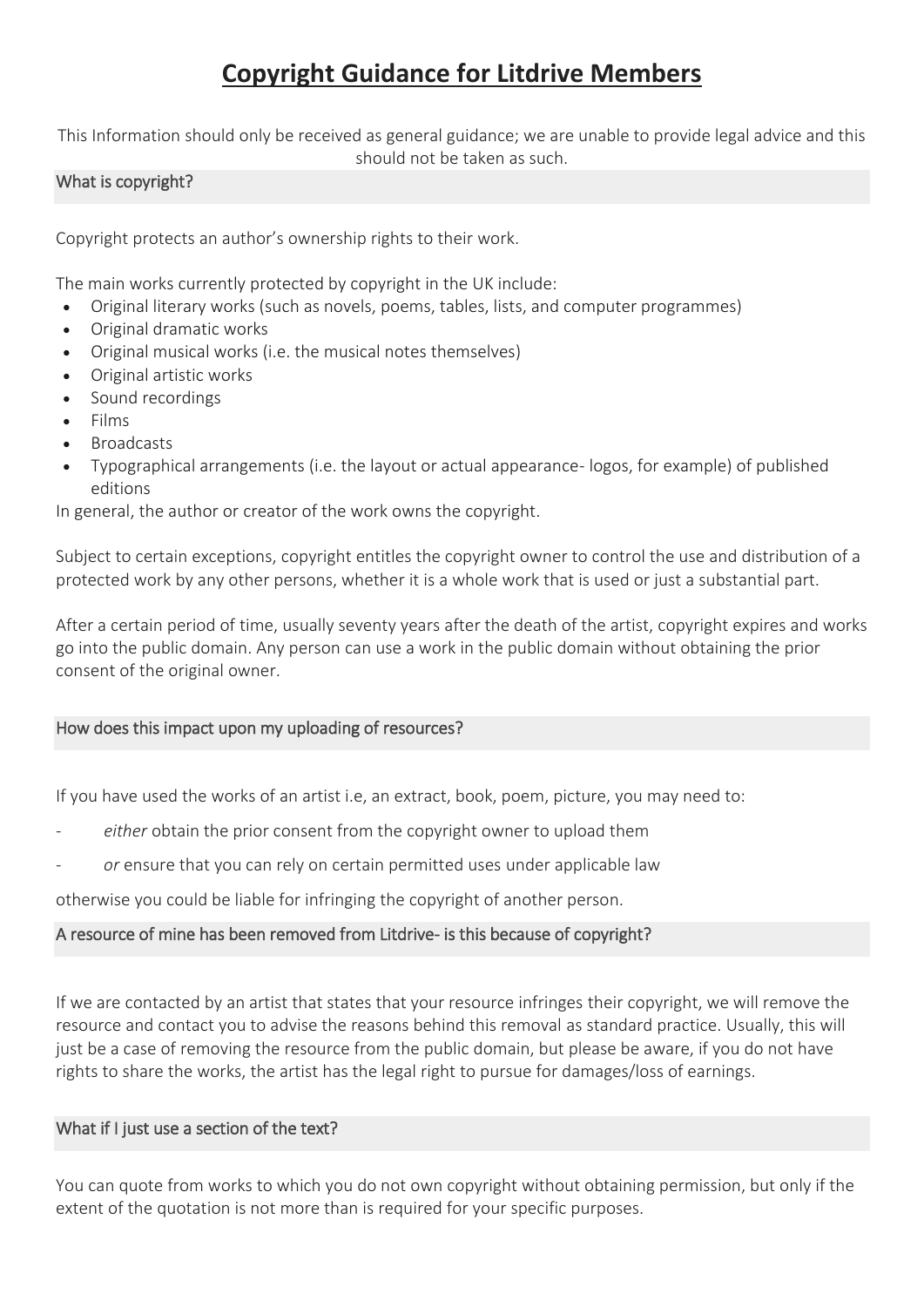# **Copyright Guidance for Litdrive Members**

This Information should only be received as general guidance; we are unable to provide legal advice and this should not be taken as such.

## What is copyright?

Copyright protects an author's ownership rights to their work.

The main works currently protected by copyright in the UK include:

- Original literary works (such as novels, poems, tables, lists, and computer programmes)
- Original dramatic works
- Original musical works (i.e. the musical notes themselves)
- Original artistic works
- Sound recordings
- Films
- **Broadcasts**
- Typographical arrangements (i.e. the layout or actual appearance- logos, for example) of published editions

In general, the author or creator of the work owns the copyright.

Subject to certain exceptions, copyright entitles the copyright owner to control the use and distribution of a protected work by any other persons, whether it is a whole work that is used or just a substantial part.

After a certain period of time, usually seventy years after the death of the artist, copyright expires and works go into the public domain. Any person can use a work in the public domain without obtaining the prior consent of the original owner.

## How does this impact upon my uploading of resources?

If you have used the works of an artist i.e, an extract, book, poem, picture, you may need to:

- either obtain the prior consent from the copyright owner to upload them
- or ensure that you can rely on certain permitted uses under applicable law

otherwise you could be liable for infringing the copyright of another person.

## A resource of mine has been removed from Litdrive- is this because of copyright?

If we are contacted by an artist that states that your resource infringes their copyright, we will remove the resource and contact you to advise the reasons behind this removal as standard practice. Usually, this will just be a case of removing the resource from the public domain, but please be aware, if you do not have rights to share the works, the artist has the legal right to pursue for damages/loss of earnings.

## What if I just use a section of the text?

You can quote from works to which you do not own copyright without obtaining permission, but only if the extent of the quotation is not more than is required for your specific purposes.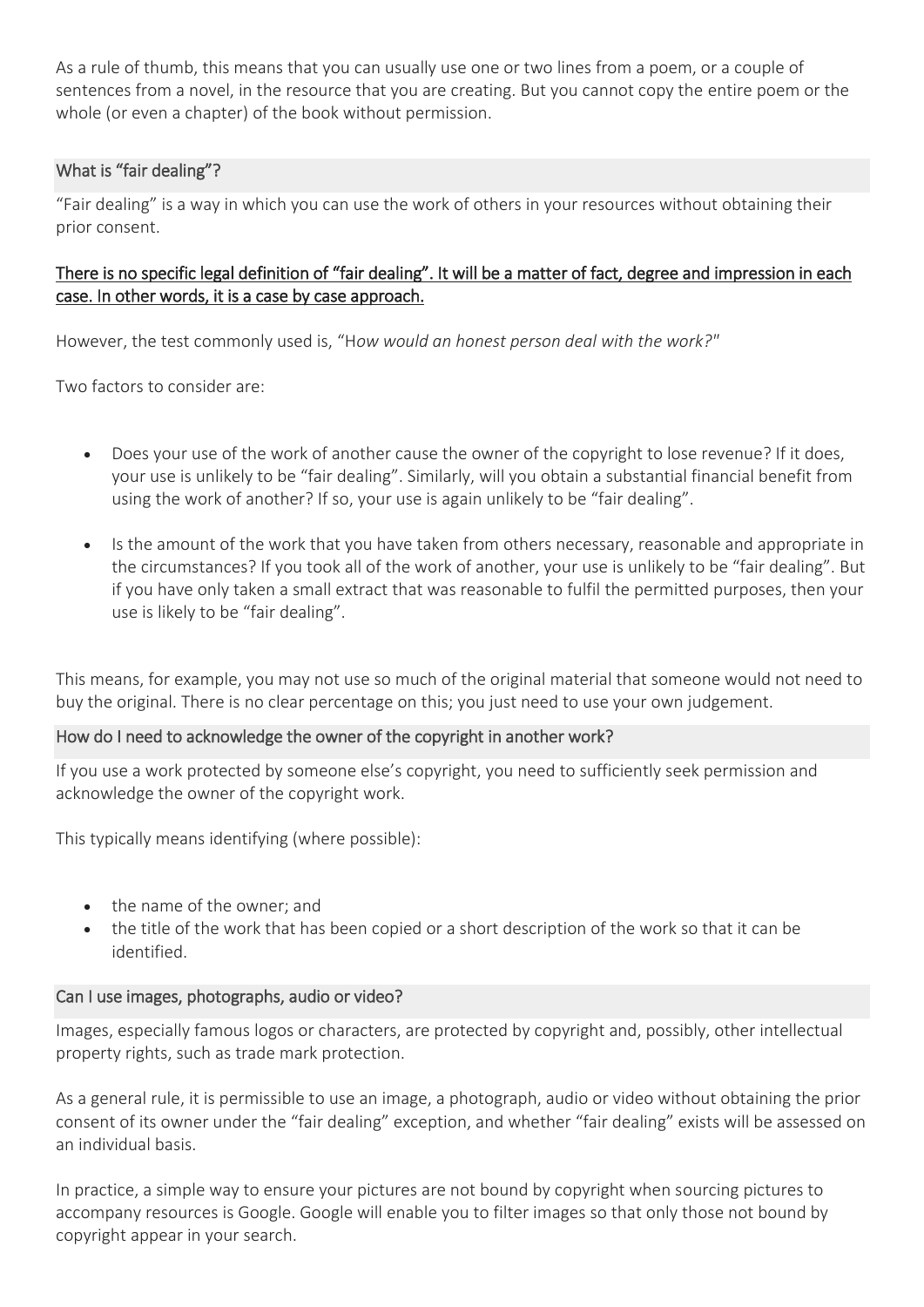As a rule of thumb, this means that you can usually use one or two lines from a poem, or a couple of sentences from a novel, in the resource that you are creating. But you cannot copy the entire poem or the whole (or even a chapter) of the book without permission.

## What is "fair dealing"?

"Fair dealing" is a way in which you can use the work of others in your resources without obtaining their prior consent.

## There is no specific legal definition of "fair dealing". It will be a matter of fact, degree and impression in each case. In other words, it is a case by case approach.

However, the test commonly used is, "H*ow would an honest person deal with the work?"*

Two factors to consider are:

- Does your use of the work of another cause the owner of the copyright to lose revenue? If it does, your use is unlikely to be "fair dealing". Similarly, will you obtain a substantial financial benefit from using the work of another? If so, your use is again unlikely to be "fair dealing".
- Is the amount of the work that you have taken from others necessary, reasonable and appropriate in the circumstances? If you took all of the work of another, your use is unlikely to be "fair dealing". But if you have only taken a small extract that was reasonable to fulfil the permitted purposes, then your use is likely to be "fair dealing".

This means, for example, you may not use so much of the original material that someone would not need to buy the original. There is no clear percentage on this; you just need to use your own judgement.

## How do I need to acknowledge the owner of the copyright in another work?

If you use a work protected by someone else's copyright, you need to sufficiently seek permission and acknowledge the owner of the copyright work.

This typically means identifying (where possible):

- the name of the owner; and
- the title of the work that has been copied or a short description of the work so that it can be identified.

## Can I use images, photographs, audio or video?

Images, especially famous logos or characters, are protected by copyright and, possibly, other intellectual property rights, such as trade mark protection.

As a general rule, it is permissible to use an image, a photograph, audio or video without obtaining the prior consent of its owner under the "fair dealing" exception, and whether "fair dealing" exists will be assessed on an individual basis.

In practice, a simple way to ensure your pictures are not bound by copyright when sourcing pictures to accompany resources is Google. Google will enable you to filter images so that only those not bound by copyright appear in your search.